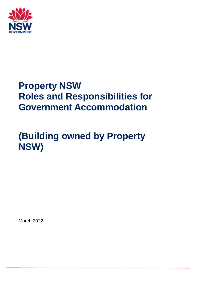

## **Property NSW Roles and Responsibilities for Government Accommodation**

## **(Building owned by Property NSW)**

March 2022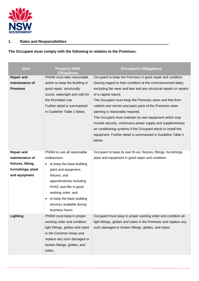

## **1. Roles and Responsibilities**

**The Occupant must comply with the following in relation to the Premises:**

| <b>Item</b>        | <b>Property NSW</b><br><b>Obligations</b> | <b>Occupant's Obligations</b>                                      |  |  |
|--------------------|-------------------------------------------|--------------------------------------------------------------------|--|--|
| <b>Repair and</b>  | PNSW must take reasonable                 | Occupant to keep the Premises in good repair and condition         |  |  |
| maintenance of     | action to keep the Building in            | (having regard to their condition at the commencement date),       |  |  |
| <b>Premises</b>    | good repair, structurally                 | excluding fair wear and tear and any structural repairs or repairs |  |  |
|                    | sound, watertight and safe for            | of a capital nature.                                               |  |  |
|                    | the Permitted Use.                        | The Occupant must keep the Premises clean and free from            |  |  |
|                    | Further detail is summarised              | rubbish and vermin and paint parts of the Premises when            |  |  |
|                    | in Guideline Table 1 below.               | painting is reasonably required.                                   |  |  |
|                    |                                           | The Occupant must maintain its own equipment which may             |  |  |
|                    |                                           | include security, continuous power supply and supplementary        |  |  |
|                    |                                           | air conditioning systems if the Occupant elects to install this    |  |  |
|                    |                                           | equipment. Further detail is summarised in Guideline Table 1       |  |  |
|                    |                                           | below.                                                             |  |  |
|                    |                                           |                                                                    |  |  |
| <b>Repair and</b>  | PNSW to use all reasonable                | Occupant to keep its own fit out, fixtures, fittings, furnishings, |  |  |
| maintenance of     | endeavours:                               | plant and equipment in good repair and condition.                  |  |  |
| fixtures, fitting, | to keep the base building<br>$\bullet$    |                                                                    |  |  |
| furnishings, plant | plant and equipment,                      |                                                                    |  |  |
| and equipment      | fixtures, and                             |                                                                    |  |  |
|                    | appurtenances including                   |                                                                    |  |  |
|                    | HVAC and lifts in good                    |                                                                    |  |  |
|                    | working order, and                        |                                                                    |  |  |
|                    | to keep the base building<br>$\bullet$    |                                                                    |  |  |
|                    | services available during                 |                                                                    |  |  |
|                    | business hours.                           |                                                                    |  |  |
| Lighting           | PNSW must keep in proper                  | Occupant must keep in proper working order and condition all       |  |  |
|                    | working order and condition               | light fittings, globes and tubes in the Premises and replace any   |  |  |
|                    | light fittings, globes and tubes          | such damaged or broken fittings, globes, and tubes.                |  |  |
|                    | in the Common Areas and                   |                                                                    |  |  |
|                    | replace any such damaged or               |                                                                    |  |  |
|                    | broken fittings, globes, and              |                                                                    |  |  |
|                    | tubes.                                    |                                                                    |  |  |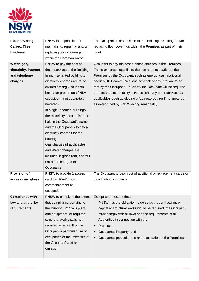

| Floor coverings -      | PNSW is responsible for          | The Occupant is responsible for maintaining, repairing and/or          |  |
|------------------------|----------------------------------|------------------------------------------------------------------------|--|
| Carpet, Tiles,         | maintaining, repairing and/or    | replacing floor coverings within the Premises as part of their         |  |
| Linoleum               | replacing floor coverings        | fitout.                                                                |  |
|                        | within the Common Areas.         |                                                                        |  |
| Water, gas,            | PNSW to pay the cost of          | Occupant to pay the cost of those services to the Premises.            |  |
| electricity, internet  | those services to the Building.  | Those expenses specific to the use and occupation of the               |  |
| and telephone          | In multi tenanted buildings,     | Premises by the Occupant, such as energy, gas, additional              |  |
| charges                | electricity charges are to be    | security, ICT communications cost, telephony, etc. are to be           |  |
|                        | divided among Occupants          | met by the Occupant. For clarity the Occupant will be required         |  |
|                        | based on proportion of NLA       | to meet the cost of utility services (and any other services as        |  |
|                        | occupied (if not separately      | applicable), such as electricity 'as metered', (or if not metered,     |  |
|                        | metered).                        | as determined by PNSW acting reasonably).                              |  |
|                        | In single tenanted buildings,    |                                                                        |  |
|                        | the electricity account is to be |                                                                        |  |
|                        | held in the Occupant's name      |                                                                        |  |
|                        | and the Occupant is to pay all   |                                                                        |  |
|                        | electricity charges for the      |                                                                        |  |
|                        | building.                        |                                                                        |  |
|                        | Gas charges (if applicable)      |                                                                        |  |
|                        | and Water charges are            |                                                                        |  |
|                        | included in gross rent, and will |                                                                        |  |
|                        | not be on charged to             |                                                                        |  |
|                        | Occupants.                       |                                                                        |  |
| <b>Provision of</b>    | PNSW to provide 1 access         | The Occupant to bear cost of additional or replacement cards or        |  |
| access cards/keys      | card per 10m2 upon               | deactivating lost cards.                                               |  |
|                        | commencement of                  |                                                                        |  |
|                        | occupation.                      |                                                                        |  |
| <b>Compliance with</b> | PNSW to comply to the extent     | Except to the extent that:                                             |  |
| law and authority      | that compliance pertains to      | PNSW has the obligation to do so as property owner, or                 |  |
| requirements           | the Building, PNSW's plant       | capital or structural works would be required, the Occupant            |  |
|                        | and equipment, or requires       | must comply with all laws and the requirements of all                  |  |
|                        | structural work that is not      | Authorities in connection with the:                                    |  |
|                        | required as a result of the      | Premises;<br>$\bullet$                                                 |  |
|                        | Occupant's particular use or     | Occupant's Property; and                                               |  |
|                        | occupation of the Premises or    | Occupant's particular use and occupation of the Premises.<br>$\bullet$ |  |
|                        | the Occupant's act or            |                                                                        |  |
|                        | omission.                        |                                                                        |  |
|                        |                                  |                                                                        |  |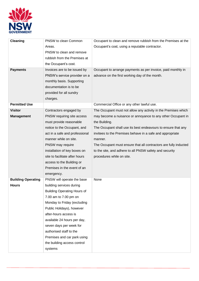

| <b>Cleaning</b>           | PNSW to clean Common               | Occupant to clean and remove rubbish from the Premises at the    |
|---------------------------|------------------------------------|------------------------------------------------------------------|
|                           | Areas.                             | Occupant's cost, using a reputable contractor.                   |
|                           | PNSW to clean and remove           |                                                                  |
|                           | rubbish from the Premises at       |                                                                  |
|                           | the Occupant's cost.               |                                                                  |
| <b>Payments</b>           | Invoices are to be issued by       | Occupant to arrange payments as per invoice, paid monthly in     |
|                           | PNSW's service provider on a       | advance on the first working day of the month.                   |
|                           | monthly basis. Supporting          |                                                                  |
|                           | documentation is to be             |                                                                  |
|                           | provided for all sundry            |                                                                  |
|                           | charges.                           |                                                                  |
| <b>Permitted Use</b>      |                                    | Commercial Office or any other lawful use.                       |
| <b>Visitor</b>            | Contractors engaged by             | The Occupant must not allow any activity in the Premises which   |
| <b>Management</b>         | PNSW requiring site access         | may become a nuisance or annoyance to any other Occupant in      |
|                           | must provide reasonable            | the Building.                                                    |
|                           | notice to the Occupant, and        | The Occupant shall use its best endeavours to ensure that any    |
|                           | act in a safe and professional     | invitees to the Premises behave in a safe and appropriate        |
|                           | manner while on site.              | manner.                                                          |
|                           | PNSW may require                   | The Occupant must ensure that all contractors are fully inducted |
|                           | installation of key boxes on       | to the site, and adhere to all PNSW safety and security          |
|                           | site to facilitate after hours     | procedures while on site.                                        |
|                           | access to the Building or          |                                                                  |
|                           | Premises in the event of an        |                                                                  |
|                           | emergency.                         |                                                                  |
| <b>Building Operating</b> | PNSW will operate the base         | None                                                             |
| <b>Hours</b>              | building services during           |                                                                  |
|                           | <b>Building Operating Hours of</b> |                                                                  |
|                           | 7.00 am to 7.00 pm on              |                                                                  |
|                           | Monday to Friday (excluding        |                                                                  |
|                           | Public Holidays), however          |                                                                  |
|                           | after-hours access is              |                                                                  |
|                           | available 24 hours per day,        |                                                                  |
|                           | seven days per week for            |                                                                  |
|                           | authorised staff to the            |                                                                  |
|                           | Premises and car park using        |                                                                  |
|                           | the building access control        |                                                                  |
|                           | systems                            |                                                                  |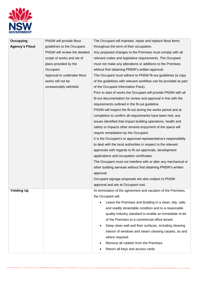

| Occupying              | PNSW will provide fitout      | The Occupant will maintain, repair and replace fitout items      |  |  |
|------------------------|-------------------------------|------------------------------------------------------------------|--|--|
| <b>Agency's Fitout</b> | guidelines to the Occupant.   | throughout the term of their occupation.                         |  |  |
|                        | PNSW will review the detailed | Any proposed changes to the Premises must comply with all        |  |  |
|                        | scope of works and set of     | relevant codes and legislative requirements. The Occupant        |  |  |
|                        | plans provided by the         | must not make any alterations or additions to the Premises       |  |  |
|                        | Occupant.                     | without first obtaining PNSW's written approval.                 |  |  |
|                        | Approval to undertake fitout  | The Occupant must adhere to PNSW fit-out guidelines (a copy      |  |  |
|                        | works will not be             | of the guidelines with relevant workflow can be provided as part |  |  |
|                        | unreasonably withheld.        | of the Occupant Information Pack).                               |  |  |
|                        |                               | Prior to start of works the Occupant will provide PNSW with all  |  |  |
|                        |                               | fit-out documentation for review and approval in line with the   |  |  |
|                        |                               | requirements outlined in the fit-out guideline.                  |  |  |
|                        |                               | PNSW will inspect the fit-out during the works period and at     |  |  |
|                        |                               | completion to confirm all requirements have been met, any        |  |  |
|                        |                               | issues identified that impact building operations, health and    |  |  |
|                        |                               | safety or impacts other tenants enjoyment of the space will      |  |  |
|                        |                               | require remediation by the Occupant.                             |  |  |
|                        |                               | It is the Occupant's or approved representative's responsibility |  |  |
|                        |                               | to deal with the local authorities in respect to the relevant    |  |  |
|                        |                               | approvals with regards to fit out approvals, development         |  |  |
|                        |                               | applications and occupation certificates.                        |  |  |
|                        |                               | The Occupant must not interfere with or alter any mechanical or  |  |  |
|                        |                               | other building services without first obtaining PNSW's written   |  |  |
|                        |                               | approval.                                                        |  |  |
|                        |                               | Occupant signage proposals are also subject to PNSW              |  |  |
|                        |                               | approval and are at Occupant cost.                               |  |  |
| <b>Yielding Up</b>     |                               | At termination of the agreement and vacation of the Premises,    |  |  |
|                        |                               | the Occupant will:                                               |  |  |
|                        |                               | Leave the Premises and Building in a clean, tidy, safe,          |  |  |
|                        |                               | and readily tenantable condition and to a reasonable             |  |  |
|                        |                               | quality industry standard to enable an immediate re-let          |  |  |
|                        |                               | of the Premises to a commercial office tenant.                   |  |  |
|                        |                               | Deep clean wall and floor surfaces, including cleaning           |  |  |
|                        |                               | interior of windows and steam cleaning carpets, as and           |  |  |
|                        |                               | where required;                                                  |  |  |
|                        |                               | Remove all rubbish from the Premises                             |  |  |
|                        |                               | Return all keys and access cards                                 |  |  |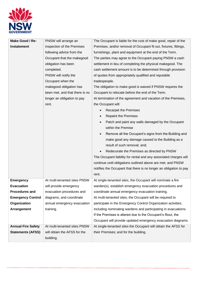

| Make Good / Re-           | PNSW will arrange an           | The Occupant is liable for the cost of make good, repair of the    |  |
|---------------------------|--------------------------------|--------------------------------------------------------------------|--|
| Instatement               | inspection of the Premises     | Premises, and/or removal of Occupant fit out, fixtures, fittings,  |  |
|                           | following advice from the      | furnishings, plant and equipment at the end of the Term.           |  |
|                           | Occupant that the makegood     | The parties may agree to the Occupant paying PNSW a cash           |  |
|                           | obligation has been            | settlement in lieu of completing the physical makegood. The        |  |
|                           | completed.                     | cash settlement amount is to be determined through provision       |  |
|                           | PNSW will notify the           | of quotes from appropriately qualified and reputable               |  |
|                           | Occupant when the              | tradespeople.                                                      |  |
|                           | makegood obligation has        | The obligation to make good is waived if PNSW requires the         |  |
|                           | been met, and that there is no | Occupant to relocate before the end of the Term.                   |  |
|                           | longer an obligation to pay    | At termination of the agreement and vacation of the Premises,      |  |
|                           | rent.                          | the Occupant will:                                                 |  |
|                           |                                | <b>Recarpet the Premises</b>                                       |  |
|                           |                                | <b>Repaint the Premises</b>                                        |  |
|                           |                                | Patch and paint any walls damaged by the Occupant                  |  |
|                           |                                | within the Premise                                                 |  |
|                           |                                | Remove all the Occupant's signs from the Building and              |  |
|                           |                                | make good any damage caused to the Building as a                   |  |
|                           |                                | result of such removal; and;                                       |  |
|                           |                                | Redecorate the Premises as directed by PNSW<br>$\bullet$           |  |
|                           |                                | The Occupant liability for rental and any associated charges will  |  |
|                           |                                | continue until obligations outlined above are met; and PNSW        |  |
|                           |                                | notifies the Occupant that there is no longer an obligation to pay |  |
|                           |                                | rent.                                                              |  |
| <b>Emergency</b>          | At multi-tenanted sites PNSW   | At single-tenanted sites, the Occupant will nominate a fire        |  |
| <b>Evacuation</b>         | will provide emergency         | warden(s), establish emergency evacuation procedures and           |  |
| <b>Procedures and</b>     | evacuation procedures and      | coordinate annual emergency evacuation training.                   |  |
| <b>Emergency Control</b>  | diagrams, and coordinate       | At multi-tenanted sites, the Occupant will be required to          |  |
| Organization              | annual emergency evacuation    | participate in the Emergency Control Organization activities,      |  |
| Arrangement               | training.                      | including nominating wardens and participating in evacuations.     |  |
|                           |                                | If the Premises is altered due to the Occupant's fitout, the       |  |
|                           |                                | Occupant will provide updated emergency evacuation diagrams.       |  |
| <b>Annual Fire Safety</b> | At multi-tenanted sites PNSW   | At single-tenanted sites the Occupant will obtain the AFSS for     |  |
| <b>Statements (AFSS)</b>  | will obtain the AFSS for the   | their Premises; and for the building.                              |  |
|                           | building.                      |                                                                    |  |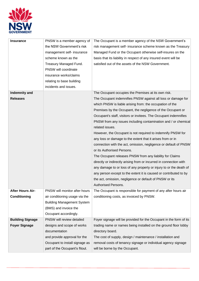

| <b>Insurance</b>        | PNSW is a member agency of        | The Occupant is a member agency of the NSW Government's            |  |
|-------------------------|-----------------------------------|--------------------------------------------------------------------|--|
|                         | the NSW Government's risk         | risk management self- insurance scheme known as the Treasury       |  |
|                         | management self- insurance        | Managed Fund or the Occupant otherwise self-insures on the         |  |
|                         | scheme known as the               | basis that its liability in respect of any insured event will be   |  |
|                         | Treasury Managed Fund.            | satisfied out of the assets of the NSW Government.                 |  |
|                         | PNSW will coordinate              |                                                                    |  |
|                         | insurance works/claims            |                                                                    |  |
|                         | relating to base building         |                                                                    |  |
|                         | incidents and issues.             |                                                                    |  |
| Indemnity and           |                                   | The Occupant occupies the Premises at its own risk.                |  |
| <b>Releases</b>         |                                   | The Occupant indemnifies PNSW against all loss or damage for       |  |
|                         |                                   | which PNSW is liable arising from: the occupation of the           |  |
|                         |                                   | Premises by the Occupant, the negligence of the Occupant or        |  |
|                         |                                   | Occupant's staff, visitors or invitees. The Occupant indemnifies   |  |
|                         |                                   | PNSW from any issues including contamination and / or chemical     |  |
|                         |                                   | related issues.                                                    |  |
|                         |                                   | However, the Occupant is not required to indemnify PNSW for        |  |
|                         |                                   | any loss or damage to the extent that it arises from or in         |  |
|                         |                                   | connection with the act, omission, negligence or default of PNSW   |  |
|                         |                                   | or its Authorised Persons.                                         |  |
|                         |                                   | The Occupant releases PNSW from any liability for Claims           |  |
|                         |                                   | directly or indirectly arising from or incurred in connection with |  |
|                         |                                   | any damage to or loss of any property or injury to or the death of |  |
|                         |                                   | any person except to the extent it is caused or contributed to by  |  |
|                         |                                   | the act, omission, negligence or default of PNSW or its            |  |
|                         |                                   | <b>Authorised Persons.</b>                                         |  |
| <b>After Hours Air-</b> | PNSW will monitor after hours     | The Occupant is responsible for payment of any after hours air     |  |
| Conditioning            | air conditioning usage via the    | conditioning costs, as invoiced by PNSW.                           |  |
|                         | <b>Building Management System</b> |                                                                    |  |
|                         | (BMS) and invoice the             |                                                                    |  |
|                         | Occupant accordingly.             |                                                                    |  |
| <b>Building Signage</b> | PNSW will review detailed         | Foyer signage will be provided for the Occupant in the form of its |  |
| <b>Foyer Signage</b>    | designs and scope of works        | trading name or names being installed on the ground floor lobby    |  |
|                         | documentation                     | directory board.                                                   |  |
|                         | and provide approval for the      | The cost of supply, design / maintenance / installation and        |  |
|                         | Occupant to install signage as    | removal costs of tenancy signage or individual agency signage      |  |
|                         | part of the Occupant's fitout.    | will be borne by the Occupant.                                     |  |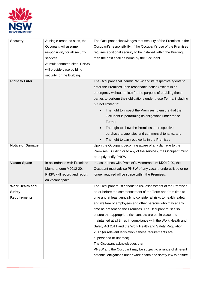

| <b>Security</b>         | At single-tenanted sites, the   | The Occupant acknowledges that security of the Premises is the     |  |
|-------------------------|---------------------------------|--------------------------------------------------------------------|--|
|                         | Occupant will assume            | Occupant's responsibility. If the Occupant's use of the Premises   |  |
|                         | responsibility for all security | requires additional security to be installed within the Building,  |  |
|                         | services.                       | then the cost shall be borne by the Occupant.                      |  |
|                         | At multi-tenanted sites, PNSW   |                                                                    |  |
|                         | will provide base building      |                                                                    |  |
|                         | security for the Building.      |                                                                    |  |
| <b>Right to Enter</b>   |                                 | The Occupant shall permit PNSW and its respective agents to        |  |
|                         |                                 | enter the Premises upon reasonable notice (except in an            |  |
|                         |                                 | emergency without notice) for the purpose of enabling these        |  |
|                         |                                 | parties to perform their obligations under these Terms, including  |  |
|                         |                                 | but not limited to:                                                |  |
|                         |                                 | The right to inspect the Premises to ensure that the               |  |
|                         |                                 | Occupant is performing its obligations under these<br>Terms;       |  |
|                         |                                 | The right to show the Premises to prospective                      |  |
|                         |                                 | purchasers, agencies and commercial tenants; and                   |  |
|                         |                                 | The right to carry out works in the Premises                       |  |
| <b>Notice of Damage</b> |                                 | Upon the Occupant becoming aware of any damage to the              |  |
|                         |                                 | Premises, Building or to any of the services, the Occupant must    |  |
|                         |                                 | promptly notify PNSW.                                              |  |
| <b>Vacant Space</b>     | In accordance with Premier's    | In accordance with Premier's Memorandum M2012-20, the              |  |
|                         | Memorandum M2012-20,            | Occupant must advise PNSW of any vacant, underutilised or no       |  |
|                         | PNSW will record and report     | longer required office space within the Premises.                  |  |
|                         | on vacant space.                |                                                                    |  |
| Work Health and         |                                 | The Occupant must conduct a risk assessment of the Premises        |  |
| <b>Safety</b>           |                                 | on or before the commencement of the Term and from time to         |  |
| <b>Requirements</b>     |                                 | time and at least annually to consider all risks to health, safety |  |
|                         |                                 | and welfare of employees and other persons who may at any          |  |
|                         |                                 | time be present on the Premises. The Occupant must also            |  |
|                         |                                 | ensure that appropriate risk controls are put in place and         |  |
|                         |                                 | maintained at all times in compliance with the Work Health and     |  |
|                         |                                 | Safety Act 2011 and the Work Health and Safety Regulation          |  |
|                         |                                 | 2017 (or relevant legislation if these requirements are            |  |
|                         |                                 | superseded or updated).                                            |  |
|                         |                                 | The Occupant acknowledges that:                                    |  |
|                         |                                 | PNSW and the Occupant may be subject to a range of different       |  |
|                         |                                 | potential obligations under work health and safety law to ensure   |  |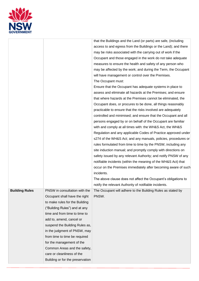

| access to and egress from the Buildings or the Land); and there<br>may be risks associated with the carrying out of work if the<br>Occupant and those engaged in the work do not take adequate<br>measures to ensure the health and safety of any person who<br>may be affected by the work; and during the Term, the Occupant<br>will have management or control over the Premises.<br>The Occupant must:<br>Ensure that the Occupant has adequate systems in place to<br>assess and eliminate all hazards at the Premises; and ensure<br>that where hazards at the Premises cannot be eliminated, the<br>Occupant does, or procures to be done, all things reasonably<br>practicable to ensure that the risks involved are adequately<br>controlled and minimised; and ensure that the Occupant and all<br>persons engaged by or on behalf of the Occupant are familiar<br>with and comply at all times with: the WH&S Act, the WH&S<br>Regulation and any applicable Codes of Practice approved under<br>s274 of the WH&S Act; and any manuals, policies, procedures or<br>rules formulated from time to time by the PNSW, including any<br>site induction manual; and promptly comply with directions on<br>safety issued by any relevant Authority; and notify PNSW of any<br>notifiable incidents (within the meaning of the WH&S Act) that<br>occur on the Premises immediately after becoming aware of such<br>incidents.<br>The above clause does not affect the Occupant's obligations to<br>notify the relevant Authority of notifiable incidents.<br><b>Building Rules</b><br>PNSW in consultation with the<br>The Occupant will adhere to the Building Rules as stated by<br>Occupant shall have the right<br>PNSW.<br>to make rules for the Building<br>("Building Rules") and at any<br>time and from time to time to<br>add to, amend, cancel or<br>suspend the Building Rules as,<br>in the judgment of PNSW, may<br>from time to time be required<br>for the management of the<br>Common Areas and the safety,<br>care or cleanliness of the<br>Building or for the preservation |  | that the Buildings and the Land (or parts) are safe, (including |
|----------------------------------------------------------------------------------------------------------------------------------------------------------------------------------------------------------------------------------------------------------------------------------------------------------------------------------------------------------------------------------------------------------------------------------------------------------------------------------------------------------------------------------------------------------------------------------------------------------------------------------------------------------------------------------------------------------------------------------------------------------------------------------------------------------------------------------------------------------------------------------------------------------------------------------------------------------------------------------------------------------------------------------------------------------------------------------------------------------------------------------------------------------------------------------------------------------------------------------------------------------------------------------------------------------------------------------------------------------------------------------------------------------------------------------------------------------------------------------------------------------------------------------------------------------------------------------------------------------------------------------------------------------------------------------------------------------------------------------------------------------------------------------------------------------------------------------------------------------------------------------------------------------------------------------------------------------------------------------------------------------------------------------------------------------------------------------------------------|--|-----------------------------------------------------------------|
|                                                                                                                                                                                                                                                                                                                                                                                                                                                                                                                                                                                                                                                                                                                                                                                                                                                                                                                                                                                                                                                                                                                                                                                                                                                                                                                                                                                                                                                                                                                                                                                                                                                                                                                                                                                                                                                                                                                                                                                                                                                                                                    |  |                                                                 |
|                                                                                                                                                                                                                                                                                                                                                                                                                                                                                                                                                                                                                                                                                                                                                                                                                                                                                                                                                                                                                                                                                                                                                                                                                                                                                                                                                                                                                                                                                                                                                                                                                                                                                                                                                                                                                                                                                                                                                                                                                                                                                                    |  |                                                                 |
|                                                                                                                                                                                                                                                                                                                                                                                                                                                                                                                                                                                                                                                                                                                                                                                                                                                                                                                                                                                                                                                                                                                                                                                                                                                                                                                                                                                                                                                                                                                                                                                                                                                                                                                                                                                                                                                                                                                                                                                                                                                                                                    |  |                                                                 |
|                                                                                                                                                                                                                                                                                                                                                                                                                                                                                                                                                                                                                                                                                                                                                                                                                                                                                                                                                                                                                                                                                                                                                                                                                                                                                                                                                                                                                                                                                                                                                                                                                                                                                                                                                                                                                                                                                                                                                                                                                                                                                                    |  |                                                                 |
|                                                                                                                                                                                                                                                                                                                                                                                                                                                                                                                                                                                                                                                                                                                                                                                                                                                                                                                                                                                                                                                                                                                                                                                                                                                                                                                                                                                                                                                                                                                                                                                                                                                                                                                                                                                                                                                                                                                                                                                                                                                                                                    |  |                                                                 |
|                                                                                                                                                                                                                                                                                                                                                                                                                                                                                                                                                                                                                                                                                                                                                                                                                                                                                                                                                                                                                                                                                                                                                                                                                                                                                                                                                                                                                                                                                                                                                                                                                                                                                                                                                                                                                                                                                                                                                                                                                                                                                                    |  |                                                                 |
|                                                                                                                                                                                                                                                                                                                                                                                                                                                                                                                                                                                                                                                                                                                                                                                                                                                                                                                                                                                                                                                                                                                                                                                                                                                                                                                                                                                                                                                                                                                                                                                                                                                                                                                                                                                                                                                                                                                                                                                                                                                                                                    |  |                                                                 |
|                                                                                                                                                                                                                                                                                                                                                                                                                                                                                                                                                                                                                                                                                                                                                                                                                                                                                                                                                                                                                                                                                                                                                                                                                                                                                                                                                                                                                                                                                                                                                                                                                                                                                                                                                                                                                                                                                                                                                                                                                                                                                                    |  |                                                                 |
|                                                                                                                                                                                                                                                                                                                                                                                                                                                                                                                                                                                                                                                                                                                                                                                                                                                                                                                                                                                                                                                                                                                                                                                                                                                                                                                                                                                                                                                                                                                                                                                                                                                                                                                                                                                                                                                                                                                                                                                                                                                                                                    |  |                                                                 |
|                                                                                                                                                                                                                                                                                                                                                                                                                                                                                                                                                                                                                                                                                                                                                                                                                                                                                                                                                                                                                                                                                                                                                                                                                                                                                                                                                                                                                                                                                                                                                                                                                                                                                                                                                                                                                                                                                                                                                                                                                                                                                                    |  |                                                                 |
|                                                                                                                                                                                                                                                                                                                                                                                                                                                                                                                                                                                                                                                                                                                                                                                                                                                                                                                                                                                                                                                                                                                                                                                                                                                                                                                                                                                                                                                                                                                                                                                                                                                                                                                                                                                                                                                                                                                                                                                                                                                                                                    |  |                                                                 |
|                                                                                                                                                                                                                                                                                                                                                                                                                                                                                                                                                                                                                                                                                                                                                                                                                                                                                                                                                                                                                                                                                                                                                                                                                                                                                                                                                                                                                                                                                                                                                                                                                                                                                                                                                                                                                                                                                                                                                                                                                                                                                                    |  |                                                                 |
|                                                                                                                                                                                                                                                                                                                                                                                                                                                                                                                                                                                                                                                                                                                                                                                                                                                                                                                                                                                                                                                                                                                                                                                                                                                                                                                                                                                                                                                                                                                                                                                                                                                                                                                                                                                                                                                                                                                                                                                                                                                                                                    |  |                                                                 |
|                                                                                                                                                                                                                                                                                                                                                                                                                                                                                                                                                                                                                                                                                                                                                                                                                                                                                                                                                                                                                                                                                                                                                                                                                                                                                                                                                                                                                                                                                                                                                                                                                                                                                                                                                                                                                                                                                                                                                                                                                                                                                                    |  |                                                                 |
|                                                                                                                                                                                                                                                                                                                                                                                                                                                                                                                                                                                                                                                                                                                                                                                                                                                                                                                                                                                                                                                                                                                                                                                                                                                                                                                                                                                                                                                                                                                                                                                                                                                                                                                                                                                                                                                                                                                                                                                                                                                                                                    |  |                                                                 |
|                                                                                                                                                                                                                                                                                                                                                                                                                                                                                                                                                                                                                                                                                                                                                                                                                                                                                                                                                                                                                                                                                                                                                                                                                                                                                                                                                                                                                                                                                                                                                                                                                                                                                                                                                                                                                                                                                                                                                                                                                                                                                                    |  |                                                                 |
|                                                                                                                                                                                                                                                                                                                                                                                                                                                                                                                                                                                                                                                                                                                                                                                                                                                                                                                                                                                                                                                                                                                                                                                                                                                                                                                                                                                                                                                                                                                                                                                                                                                                                                                                                                                                                                                                                                                                                                                                                                                                                                    |  |                                                                 |
|                                                                                                                                                                                                                                                                                                                                                                                                                                                                                                                                                                                                                                                                                                                                                                                                                                                                                                                                                                                                                                                                                                                                                                                                                                                                                                                                                                                                                                                                                                                                                                                                                                                                                                                                                                                                                                                                                                                                                                                                                                                                                                    |  |                                                                 |
|                                                                                                                                                                                                                                                                                                                                                                                                                                                                                                                                                                                                                                                                                                                                                                                                                                                                                                                                                                                                                                                                                                                                                                                                                                                                                                                                                                                                                                                                                                                                                                                                                                                                                                                                                                                                                                                                                                                                                                                                                                                                                                    |  |                                                                 |
|                                                                                                                                                                                                                                                                                                                                                                                                                                                                                                                                                                                                                                                                                                                                                                                                                                                                                                                                                                                                                                                                                                                                                                                                                                                                                                                                                                                                                                                                                                                                                                                                                                                                                                                                                                                                                                                                                                                                                                                                                                                                                                    |  |                                                                 |
|                                                                                                                                                                                                                                                                                                                                                                                                                                                                                                                                                                                                                                                                                                                                                                                                                                                                                                                                                                                                                                                                                                                                                                                                                                                                                                                                                                                                                                                                                                                                                                                                                                                                                                                                                                                                                                                                                                                                                                                                                                                                                                    |  |                                                                 |
|                                                                                                                                                                                                                                                                                                                                                                                                                                                                                                                                                                                                                                                                                                                                                                                                                                                                                                                                                                                                                                                                                                                                                                                                                                                                                                                                                                                                                                                                                                                                                                                                                                                                                                                                                                                                                                                                                                                                                                                                                                                                                                    |  |                                                                 |
|                                                                                                                                                                                                                                                                                                                                                                                                                                                                                                                                                                                                                                                                                                                                                                                                                                                                                                                                                                                                                                                                                                                                                                                                                                                                                                                                                                                                                                                                                                                                                                                                                                                                                                                                                                                                                                                                                                                                                                                                                                                                                                    |  |                                                                 |
|                                                                                                                                                                                                                                                                                                                                                                                                                                                                                                                                                                                                                                                                                                                                                                                                                                                                                                                                                                                                                                                                                                                                                                                                                                                                                                                                                                                                                                                                                                                                                                                                                                                                                                                                                                                                                                                                                                                                                                                                                                                                                                    |  |                                                                 |
|                                                                                                                                                                                                                                                                                                                                                                                                                                                                                                                                                                                                                                                                                                                                                                                                                                                                                                                                                                                                                                                                                                                                                                                                                                                                                                                                                                                                                                                                                                                                                                                                                                                                                                                                                                                                                                                                                                                                                                                                                                                                                                    |  |                                                                 |
|                                                                                                                                                                                                                                                                                                                                                                                                                                                                                                                                                                                                                                                                                                                                                                                                                                                                                                                                                                                                                                                                                                                                                                                                                                                                                                                                                                                                                                                                                                                                                                                                                                                                                                                                                                                                                                                                                                                                                                                                                                                                                                    |  |                                                                 |
|                                                                                                                                                                                                                                                                                                                                                                                                                                                                                                                                                                                                                                                                                                                                                                                                                                                                                                                                                                                                                                                                                                                                                                                                                                                                                                                                                                                                                                                                                                                                                                                                                                                                                                                                                                                                                                                                                                                                                                                                                                                                                                    |  |                                                                 |
|                                                                                                                                                                                                                                                                                                                                                                                                                                                                                                                                                                                                                                                                                                                                                                                                                                                                                                                                                                                                                                                                                                                                                                                                                                                                                                                                                                                                                                                                                                                                                                                                                                                                                                                                                                                                                                                                                                                                                                                                                                                                                                    |  |                                                                 |
|                                                                                                                                                                                                                                                                                                                                                                                                                                                                                                                                                                                                                                                                                                                                                                                                                                                                                                                                                                                                                                                                                                                                                                                                                                                                                                                                                                                                                                                                                                                                                                                                                                                                                                                                                                                                                                                                                                                                                                                                                                                                                                    |  |                                                                 |
|                                                                                                                                                                                                                                                                                                                                                                                                                                                                                                                                                                                                                                                                                                                                                                                                                                                                                                                                                                                                                                                                                                                                                                                                                                                                                                                                                                                                                                                                                                                                                                                                                                                                                                                                                                                                                                                                                                                                                                                                                                                                                                    |  |                                                                 |
|                                                                                                                                                                                                                                                                                                                                                                                                                                                                                                                                                                                                                                                                                                                                                                                                                                                                                                                                                                                                                                                                                                                                                                                                                                                                                                                                                                                                                                                                                                                                                                                                                                                                                                                                                                                                                                                                                                                                                                                                                                                                                                    |  |                                                                 |
|                                                                                                                                                                                                                                                                                                                                                                                                                                                                                                                                                                                                                                                                                                                                                                                                                                                                                                                                                                                                                                                                                                                                                                                                                                                                                                                                                                                                                                                                                                                                                                                                                                                                                                                                                                                                                                                                                                                                                                                                                                                                                                    |  |                                                                 |
|                                                                                                                                                                                                                                                                                                                                                                                                                                                                                                                                                                                                                                                                                                                                                                                                                                                                                                                                                                                                                                                                                                                                                                                                                                                                                                                                                                                                                                                                                                                                                                                                                                                                                                                                                                                                                                                                                                                                                                                                                                                                                                    |  |                                                                 |
|                                                                                                                                                                                                                                                                                                                                                                                                                                                                                                                                                                                                                                                                                                                                                                                                                                                                                                                                                                                                                                                                                                                                                                                                                                                                                                                                                                                                                                                                                                                                                                                                                                                                                                                                                                                                                                                                                                                                                                                                                                                                                                    |  |                                                                 |
|                                                                                                                                                                                                                                                                                                                                                                                                                                                                                                                                                                                                                                                                                                                                                                                                                                                                                                                                                                                                                                                                                                                                                                                                                                                                                                                                                                                                                                                                                                                                                                                                                                                                                                                                                                                                                                                                                                                                                                                                                                                                                                    |  |                                                                 |
|                                                                                                                                                                                                                                                                                                                                                                                                                                                                                                                                                                                                                                                                                                                                                                                                                                                                                                                                                                                                                                                                                                                                                                                                                                                                                                                                                                                                                                                                                                                                                                                                                                                                                                                                                                                                                                                                                                                                                                                                                                                                                                    |  |                                                                 |
|                                                                                                                                                                                                                                                                                                                                                                                                                                                                                                                                                                                                                                                                                                                                                                                                                                                                                                                                                                                                                                                                                                                                                                                                                                                                                                                                                                                                                                                                                                                                                                                                                                                                                                                                                                                                                                                                                                                                                                                                                                                                                                    |  |                                                                 |
|                                                                                                                                                                                                                                                                                                                                                                                                                                                                                                                                                                                                                                                                                                                                                                                                                                                                                                                                                                                                                                                                                                                                                                                                                                                                                                                                                                                                                                                                                                                                                                                                                                                                                                                                                                                                                                                                                                                                                                                                                                                                                                    |  |                                                                 |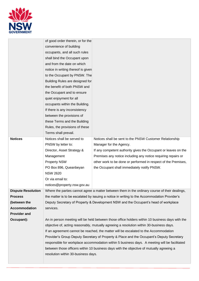

|                           | of good order therein, or for the   |                                                                                                 |
|---------------------------|-------------------------------------|-------------------------------------------------------------------------------------------------|
|                           | convenience of building             |                                                                                                 |
|                           | occupants, and all such rules       |                                                                                                 |
|                           | shall bind the Occupant upon        |                                                                                                 |
|                           | and from the date on which          |                                                                                                 |
|                           | notice in writing thereof is given  |                                                                                                 |
|                           | to the Occupant by PNSW. The        |                                                                                                 |
|                           | Building Rules are designed for     |                                                                                                 |
|                           | the benefit of both PNSW and        |                                                                                                 |
|                           | the Occupant and to ensure          |                                                                                                 |
|                           | quiet enjoyment for all             |                                                                                                 |
|                           | occupants within the Building.      |                                                                                                 |
|                           | If there is any inconsistency       |                                                                                                 |
|                           | between the provisions of           |                                                                                                 |
|                           | these Terms and the Building        |                                                                                                 |
|                           | Rules, the provisions of these      |                                                                                                 |
|                           | Terms shall prevail.                |                                                                                                 |
| <b>Notices</b>            | Notices shall be served to          | Notices shall be sent to the PNSW Customer Relationship                                         |
|                           | PNSW by letter to:                  | Manager for the Agency.                                                                         |
|                           | Director, Asset Strategy &          | If any competent authority gives the Occupant or leaves on the                                  |
|                           | Management                          | Premises any notice including any notice requiring repairs or                                   |
|                           | <b>Property NSW</b>                 | other work to be done or performed in respect of the Premises,                                  |
|                           | PO Box 896, Queanbeyan              | the Occupant shall immediately notify PNSW.                                                     |
|                           | <b>NSW 2620</b>                     |                                                                                                 |
|                           | Or via email to:                    |                                                                                                 |
|                           | notices@property.nsw.gov.au         |                                                                                                 |
| <b>Dispute Resolution</b> |                                     | Where the parties cannot agree a matter between them in the ordinary course of their dealings,  |
| <b>Process</b>            |                                     | the matter is to be escalated by issuing a notice in writing to the Accommodation Provider's    |
| (between the              |                                     | Deputy Secretary of Property & Development NSW and the Occupant's head of workplace             |
| <b>Accommodation</b>      | services.                           |                                                                                                 |
| <b>Provider and</b>       |                                     |                                                                                                 |
| Occupant):                |                                     | An in person meeting will be held between those office holders within 10 business days with the |
|                           |                                     | objective of, acting reasonably, mutually agreeing a resolution within 30-business days.        |
|                           |                                     | If an agreement cannot be reached, the matter will be escalated to the Accommodation            |
|                           |                                     | Provider's Group Deputy Secretary of Property & Place and the Occupant's Deputy Secretary       |
|                           |                                     | responsible for workplace accommodation within 5 business days. A meeting will be facilitated   |
|                           |                                     | between those officers within 10 business days with the objective of mutually agreeing a        |
|                           | resolution within 30-business days. |                                                                                                 |
|                           |                                     |                                                                                                 |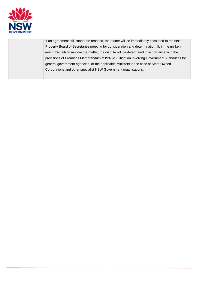

If an agreement still cannot be reached, the matter will be immediately escalated to the next Property Board of Secretaries meeting for consideration and determination. If, in the unlikely event this fails to resolve the matter, the dispute will be determined in accordance with the provisions of Premier's Memorandum M1997-26 Litigation Involving Government Authorities for general government agencies, or the applicable Ministers in the case of State Owned Corporations and other specialist NSW Government organisations.